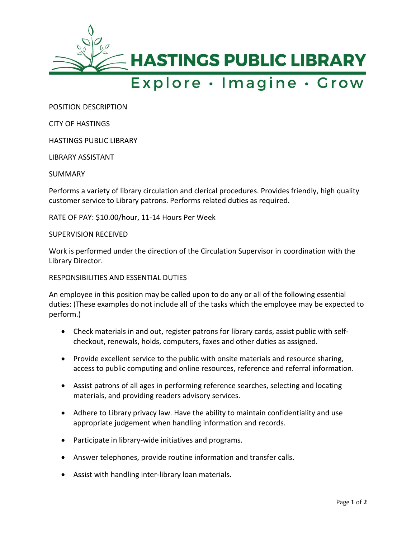

## Explore · Imagine · Grow

POSITION DESCRIPTION

CITY OF HASTINGS

HASTINGS PUBLIC LIBRARY

LIBRARY ASSISTANT

SUMMARY

Performs a variety of library circulation and clerical procedures. Provides friendly, high quality customer service to Library patrons. Performs related duties as required.

RATE OF PAY: \$10.00/hour, 11-14 Hours Per Week

SUPERVISION RECEIVED

Work is performed under the direction of the Circulation Supervisor in coordination with the Library Director.

## RESPONSIBILITIES AND ESSENTIAL DUTIES

An employee in this position may be called upon to do any or all of the following essential duties: (These examples do not include all of the tasks which the employee may be expected to perform.)

- Check materials in and out, register patrons for library cards, assist public with selfcheckout, renewals, holds, computers, faxes and other duties as assigned.
- Provide excellent service to the public with onsite materials and resource sharing, access to public computing and online resources, reference and referral information.
- Assist patrons of all ages in performing reference searches, selecting and locating materials, and providing readers advisory services.
- Adhere to Library privacy law. Have the ability to maintain confidentiality and use appropriate judgement when handling information and records.
- Participate in library-wide initiatives and programs.
- Answer telephones, provide routine information and transfer calls.
- Assist with handling inter-library loan materials.